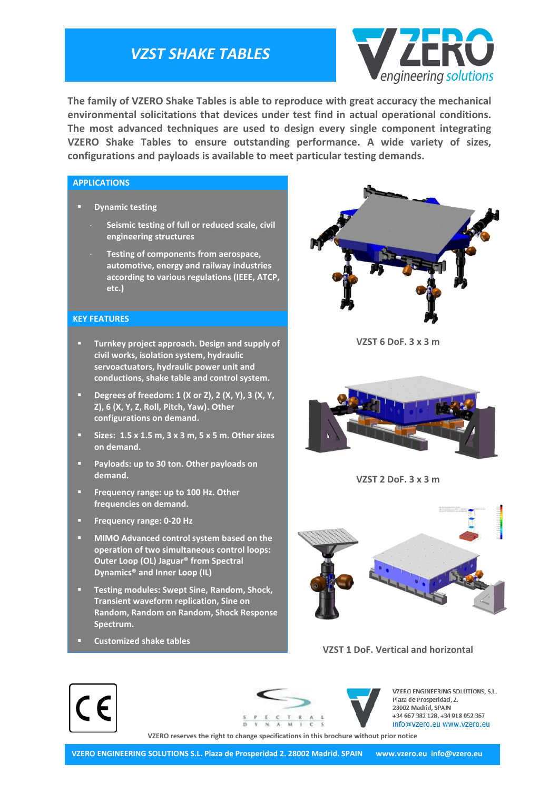## *VZST SHAKE TABLES*



**The family of VZERO Shake Tables is able to reproduce with great accuracy the mechanical environmental solicitations that devices under test find in actual operational conditions. The most advanced techniques are used to design every single component integrating VZERO Shake Tables to ensure outstanding performance. A wide variety of sizes, configurations and payloads is available to meet particular testing demands.**

#### **APPLICATIONS**

- **Dynamic testing**
	- **Seismic testing of full or reduced scale, civil engineering structures**
	- **Testing of components from aerospace, automotive, energy and railway industries according to various regulations (IEEE, ATCP, etc.)**

#### **KEY FEATURES**

- **Turnkey project approach. Design and supply of civil works, isolation system, hydraulic servoactuators, hydraulic power unit and conductions, shake table and control system.**
- **Degrees of freedom: 1 (X or Z), 2 (X, Y), 3 (X, Y, Z), 6 (X, Y, Z, Roll, Pitch, Yaw). Other configurations on demand.**
- **Sizes: 1.5 x 1.5 m, 3 x 3 m, 5 x 5 m. Other sizes on demand.**
- **Payloads: up to 30 ton. Other payloads on demand.**
- **Frequency range: up to 100 Hz. Other frequencies on demand.**
- **Frequency range: 0-20 Hz**
- **MIMO Advanced control system based on the operation of two simultaneous control loops: Outer Loop (OL) Jaguar® from Spectral Dynamics® and Inner Loop (IL)**
- **Testing modules: Swept Sine, Random, Shock, Transient waveform replication, Sine on Random, Random on Random, Shock Response Spectrum.**
- **Customized shake tables**



**VZST 6 DoF. 3 x 3 m**



**VZST 2 DoF. 3 x 3 m**



#### **VZST 1 DoF. Vertical and horizontal**





VZERO ENGINEERING SOLUTIONS, S.L. Plaza de Prosperidad, 2. 28002 Madrid, SPAIN +34 667 382 128, +34 918 052 367 info@vzero.eu www.vzero.eu

**VZERO reserves the right to change specifications in this brochure without prior notice**